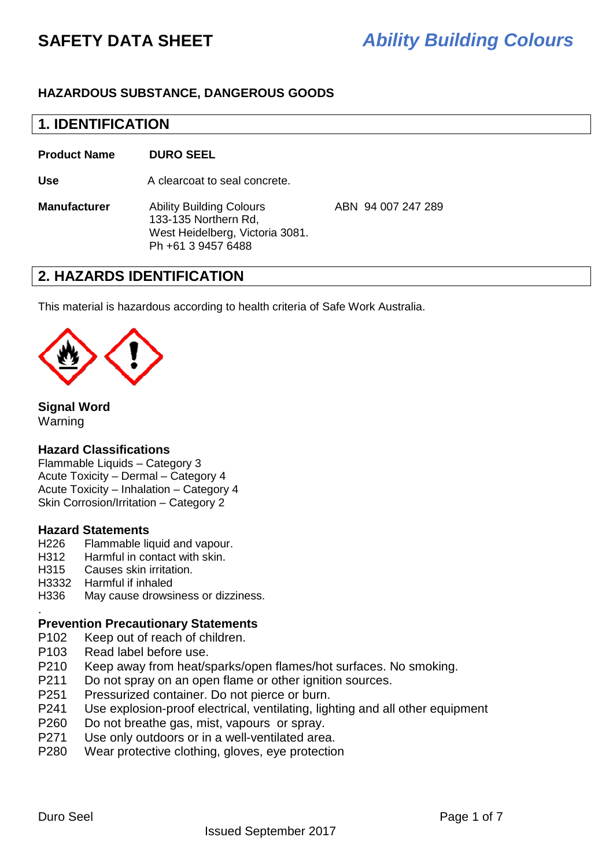## **HAZARDOUS SUBSTANCE, DANGEROUS GOODS**

## **1. IDENTIFICATION**

**Product Name DURO SEEL** 

Use **A** clearcoat to seal concrete.

**Manufacturer** Ability Building Colours ABN 94 007 247 289 133-135 Northern Rd, West Heidelberg, Victoria 3081. Ph +61 3 9457 6488

# **2. HAZARDS IDENTIFICATION**

This material is hazardous according to health criteria of Safe Work Australia.



### **Signal Word**  Warning

### **Hazard Classifications**

Flammable Liquids – Category 3 Acute Toxicity – Dermal – Category 4 Acute Toxicity – Inhalation – Category 4 Skin Corrosion/Irritation – Category 2

### **Hazard Statements**

- H<sub>226</sub> Flammable liquid and vapour.
- H312 Harmful in contact with skin.
- H315 Causes skin irritation.
- H3332 Harmful if inhaled
- H336 May cause drowsiness or dizziness.

### **Prevention Precautionary Statements**

- P102 Keep out of reach of children.
- P103 Read label before use.
- P210 Keep away from heat/sparks/open flames/hot surfaces. No smoking.
- P211 Do not spray on an open flame or other ignition sources.
- P251 Pressurized container. Do not pierce or burn.
- P241 Use explosion-proof electrical, ventilating, lighting and all other equipment
- P260 Do not breathe gas, mist, vapours or spray.
- P271 Use only outdoors or in a well-ventilated area.
- P280 Wear protective clothing, gloves, eye protection

.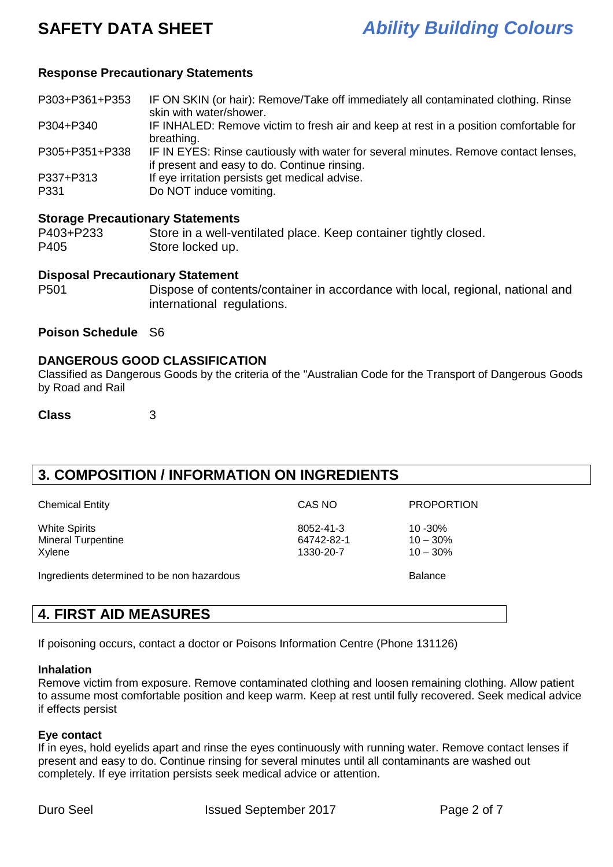### **Response Precautionary Statements**

P303+P361+P353 IF ON SKIN (or hair): Remove/Take off immediately all contaminated clothing. Rinse skin with water/shower.

P304+P340 IF INHALED: Remove victim to fresh air and keep at rest in a position comfortable for breathing.

P305+P351+P338 IF IN EYES: Rinse cautiously with water for several minutes. Remove contact lenses, if present and easy to do. Continue rinsing.

P337+P313 If eye irritation persists get medical advise.

P331 Do NOT induce vomiting.

#### **Storage Precautionary Statements**

P403+P233 Store in a well-ventilated place. Keep container tightly closed. P405 Store locked up.

#### **Disposal Precautionary Statement**

P501 Dispose of contents/container in accordance with local, regional, national and international regulations.

### **Poison Schedule** S6

#### **DANGEROUS GOOD CLASSIFICATION**

Classified as Dangerous Goods by the criteria of the "Australian Code for the Transport of Dangerous Goods by Road and Rail

**Class** 3

# **3. COMPOSITION / INFORMATION ON INGREDIENTS**

| <b>Chemical Entity</b>                     | CAS NO     | <b>PROPORTION</b> |
|--------------------------------------------|------------|-------------------|
| <b>White Spirits</b>                       | 8052-41-3  | $10 - 30\%$       |
| <b>Mineral Turpentine</b>                  | 64742-82-1 | $10 - 30\%$       |
| Xylene                                     | 1330-20-7  | $10 - 30\%$       |
| Ingredients determined to be non hazardous |            | <b>Balance</b>    |

# **4. FIRST AID MEASURES**

If poisoning occurs, contact a doctor or Poisons Information Centre (Phone 131126)

#### **Inhalation**

Remove victim from exposure. Remove contaminated clothing and loosen remaining clothing. Allow patient to assume most comfortable position and keep warm. Keep at rest until fully recovered. Seek medical advice if effects persist

#### **Eye contact**

If in eyes, hold eyelids apart and rinse the eyes continuously with running water. Remove contact lenses if present and easy to do. Continue rinsing for several minutes until all contaminants are washed out completely. If eye irritation persists seek medical advice or attention.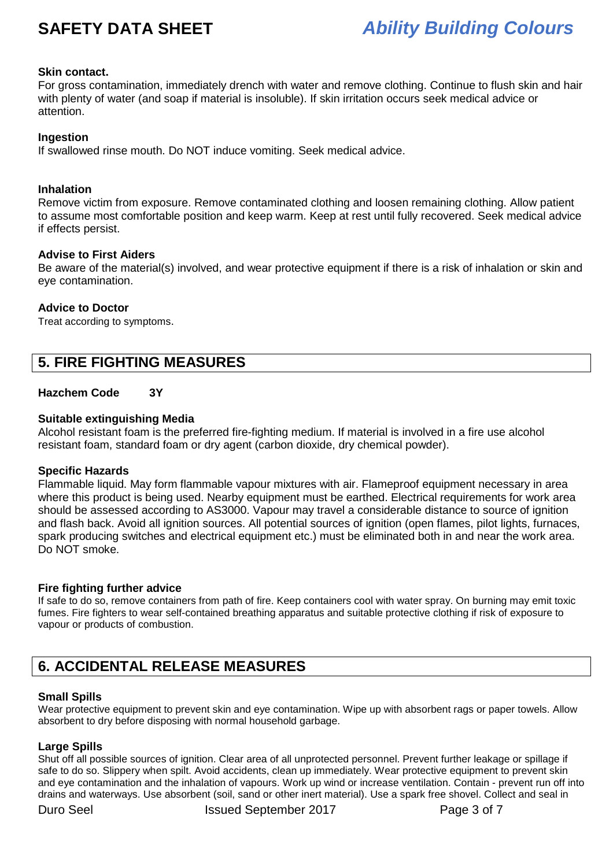#### **Skin contact.**

For gross contamination, immediately drench with water and remove clothing. Continue to flush skin and hair with plenty of water (and soap if material is insoluble). If skin irritation occurs seek medical advice or attention.

#### **Ingestion**

If swallowed rinse mouth. Do NOT induce vomiting. Seek medical advice.

#### **Inhalation**

Remove victim from exposure. Remove contaminated clothing and loosen remaining clothing. Allow patient to assume most comfortable position and keep warm. Keep at rest until fully recovered. Seek medical advice if effects persist.

#### **Advise to First Aiders**

Be aware of the material(s) involved, and wear protective equipment if there is a risk of inhalation or skin and eye contamination.

#### **Advice to Doctor**

Treat according to symptoms.

# **5. FIRE FIGHTING MEASURES**

### **Hazchem Code 3Y**

#### **Suitable extinguishing Media**

Alcohol resistant foam is the preferred fire-fighting medium. If material is involved in a fire use alcohol resistant foam, standard foam or dry agent (carbon dioxide, dry chemical powder).

#### **Specific Hazards**

Flammable liquid. May form flammable vapour mixtures with air. Flameproof equipment necessary in area where this product is being used. Nearby equipment must be earthed. Electrical requirements for work area should be assessed according to AS3000. Vapour may travel a considerable distance to source of ignition and flash back. Avoid all ignition sources. All potential sources of ignition (open flames, pilot lights, furnaces, spark producing switches and electrical equipment etc.) must be eliminated both in and near the work area. Do NOT smoke.

#### **Fire fighting further advice**

If safe to do so, remove containers from path of fire. Keep containers cool with water spray. On burning may emit toxic fumes. Fire fighters to wear self-contained breathing apparatus and suitable protective clothing if risk of exposure to vapour or products of combustion.

# **6. ACCIDENTAL RELEASE MEASURES**

#### **Small Spills**

Wear protective equipment to prevent skin and eye contamination. Wipe up with absorbent rags or paper towels. Allow absorbent to dry before disposing with normal household garbage.

#### **Large Spills**

Shut off all possible sources of ignition. Clear area of all unprotected personnel. Prevent further leakage or spillage if safe to do so. Slippery when spilt. Avoid accidents, clean up immediately. Wear protective equipment to prevent skin and eye contamination and the inhalation of vapours. Work up wind or increase ventilation. Contain - prevent run off into drains and waterways. Use absorbent (soil, sand or other inert material). Use a spark free shovel. Collect and seal in

Duro Seel **Issued September 2017** Page 3 of 7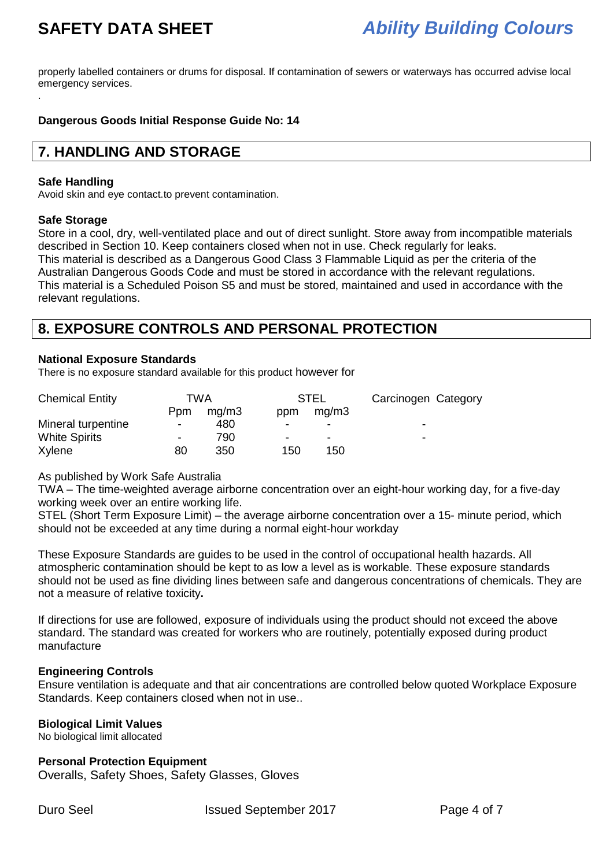properly labelled containers or drums for disposal. If contamination of sewers or waterways has occurred advise local emergency services. .

#### **Dangerous Goods Initial Response Guide No: 14**

# **7. HANDLING AND STORAGE**

#### **Safe Handling**

Avoid skin and eye contact.to prevent contamination.

#### **Safe Storage**

Store in a cool, dry, well-ventilated place and out of direct sunlight. Store away from incompatible materials described in Section 10. Keep containers closed when not in use. Check regularly for leaks. This material is described as a Dangerous Good Class 3 Flammable Liquid as per the criteria of the Australian Dangerous Goods Code and must be stored in accordance with the relevant regulations. This material is a Scheduled Poison S5 and must be stored, maintained and used in accordance with the relevant regulations.

# **8. EXPOSURE CONTROLS AND PERSONAL PROTECTION**

#### **National Exposure Standards**

There is no exposure standard available for this product however for

| <b>Chemical Entity</b> |                          | TWA<br><b>STEL</b> |     | Carcinogen Category      |                          |
|------------------------|--------------------------|--------------------|-----|--------------------------|--------------------------|
|                        | Ppm                      | mg/m3              | ppm | mq/m3                    |                          |
| Mineral turpentine     | $\overline{\phantom{0}}$ | 480                |     | -                        | $\overline{\phantom{0}}$ |
| <b>White Spirits</b>   | $\overline{\phantom{a}}$ | 790                | -   | $\overline{\phantom{0}}$ | $\overline{\phantom{0}}$ |
| Xylene                 | 80                       | 350                | 150 | 150                      |                          |

As published by Work Safe Australia

TWA – The time-weighted average airborne concentration over an eight-hour working day, for a five-day working week over an entire working life.

STEL (Short Term Exposure Limit) – the average airborne concentration over a 15- minute period, which should not be exceeded at any time during a normal eight-hour workday

These Exposure Standards are guides to be used in the control of occupational health hazards. All atmospheric contamination should be kept to as low a level as is workable. These exposure standards should not be used as fine dividing lines between safe and dangerous concentrations of chemicals. They are not a measure of relative toxicity**.** 

If directions for use are followed, exposure of individuals using the product should not exceed the above standard. The standard was created for workers who are routinely, potentially exposed during product manufacture

#### **Engineering Controls**

Ensure ventilation is adequate and that air concentrations are controlled below quoted Workplace Exposure Standards. Keep containers closed when not in use..

#### **Biological Limit Values**

No biological limit allocated

#### **Personal Protection Equipment**

Overalls, Safety Shoes, Safety Glasses, Gloves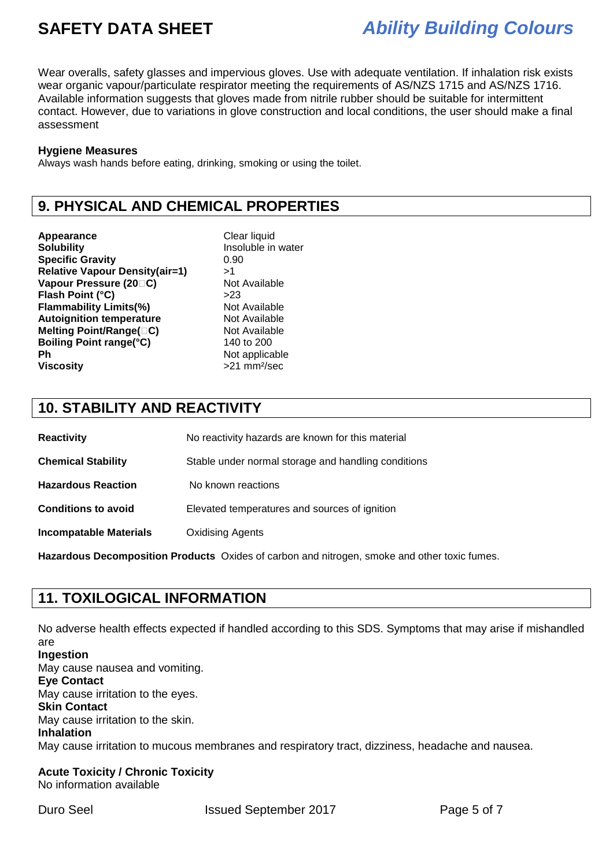Wear overalls, safety glasses and impervious gloves. Use with adequate ventilation. If inhalation risk exists wear organic vapour/particulate respirator meeting the requirements of AS/NZS 1715 and AS/NZS 1716. Available information suggests that gloves made from nitrile rubber should be suitable for intermittent contact. However, due to variations in glove construction and local conditions, the user should make a final assessment

#### **Hygiene Measures**

Always wash hands before eating, drinking, smoking or using the toilet.

# **9. PHYSICAL AND CHEMICAL PROPERTIES**

Appearance **Clear liquid Solubility Insoluble in water Specific Gravity** 0.90 **Relative Vapour Density(air=1)** >1 **Vapour Pressure (20 C)** Not Available **Flash Point (°C)** >23 **Flammability Limits(%)** Not Available **Autoignition temperature Not Available Melting Point/Range( C)** Not Available **Boiling Point range(°C)** 140 to 200 **Ph** Not applicable **Viscosity** >21 mm²/sec

# **10. STABILITY AND REACTIVITY**

| <b>Reactivity</b>             | No reactivity hazards are known for this material   |
|-------------------------------|-----------------------------------------------------|
| <b>Chemical Stability</b>     | Stable under normal storage and handling conditions |
| <b>Hazardous Reaction</b>     | No known reactions                                  |
| <b>Conditions to avoid</b>    | Elevated temperatures and sources of ignition       |
| <b>Incompatable Materials</b> | <b>Oxidising Agents</b>                             |
|                               |                                                     |

**Hazardous Decomposition Products** Oxides of carbon and nitrogen, smoke and other toxic fumes.

# **11. TOXILOGICAL INFORMATION**

No adverse health effects expected if handled according to this SDS. Symptoms that may arise if mishandled are **Ingestion**  May cause nausea and vomiting. **Eye Contact**  May cause irritation to the eyes. **Skin Contact**  May cause irritation to the skin. **Inhalation**  May cause irritation to mucous membranes and respiratory tract, dizziness, headache and nausea.

**Acute Toxicity / Chronic Toxicity**  No information available

Duro Seel **Issued September 2017** Page 5 of 7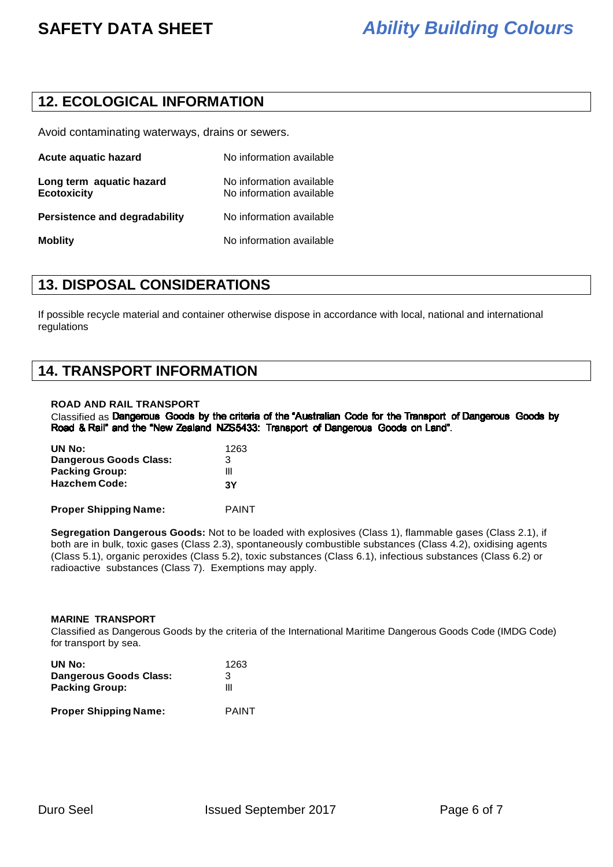# **12. ECOLOGICAL INFORMATION**

Avoid contaminating waterways, drains or sewers.

| Acute aquatic hazard                           | No information available                             |
|------------------------------------------------|------------------------------------------------------|
| Long term aquatic hazard<br><b>Ecotoxicity</b> | No information available<br>No information available |
| <b>Persistence and degradability</b>           | No information available                             |
| <b>Moblity</b>                                 | No information available                             |

## **13. DISPOSAL CONSIDERATIONS**

If possible recycle material and container otherwise dispose in accordance with local, national and international regulations

## **14. TRANSPORT INFORMATION**

#### **ROAD AND RAIL TRANSPORT**

Classified as Dangerous Goods by the criteria of the "Australian Code for the Transport of Dangerous Goods by<br>Road & Rail" and the "New Zealand NZS5433: Transport of Dangerous Goods on Land".

| UN No:                        | 1263 |
|-------------------------------|------|
| <b>Dangerous Goods Class:</b> | 3    |
| <b>Packing Group:</b>         | Ш    |
| <b>Hazchem Code:</b>          | 3Υ   |
|                               |      |

**Proper Shipping Name:** PAINT

**Segregation Dangerous Goods:** Not to be loaded with explosives (Class 1), flammable gases (Class 2.1), if both are in bulk, toxic gases (Class 2.3), spontaneously combustible substances (Class 4.2), oxidising agents (Class 5.1), organic peroxides (Class 5.2), toxic substances (Class 6.1), infectious substances (Class 6.2) or radioactive substances (Class 7). Exemptions may apply.

#### **MARINE TRANSPORT**

Classified as Dangerous Goods by the criteria of the International Maritime Dangerous Goods Code (IMDG Code) for transport by sea.

| UN No:                        | 1263         |
|-------------------------------|--------------|
| <b>Dangerous Goods Class:</b> | 3            |
| <b>Packing Group:</b>         | Ш            |
| <b>Proper Shipping Name:</b>  | <b>PAINT</b> |